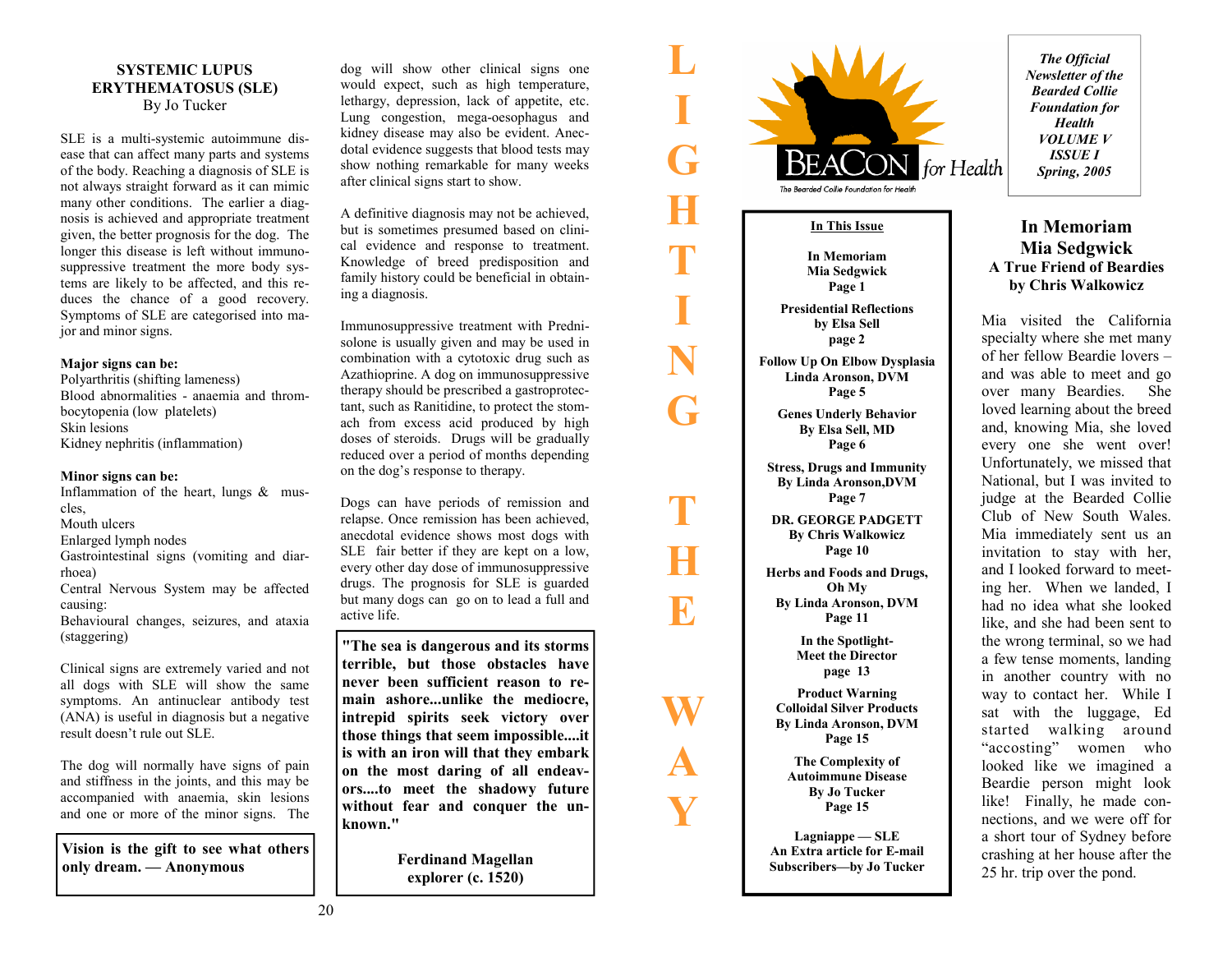#### **SYSTEMIC LUPUS ERYTHEMATOSUS (SLE)**  By Jo Tucker

SLE is a multi-systemic autoimmune disease that can affect many parts and systems of the body. Reaching a diagnosis of SLE is not always straight forward as it can mimic many other conditions. The earlier a diagnosis is achieved and appropriate treatment given, the better prognosis for the dog. The longer this disease is left without immunosuppressive treatment the more body systems are likely to be affected, and this reduces the chance of a good recovery. Symptoms of SLE are categorised into major and minor signs.

#### **Major signs can be:**

Polyarthritis (shifting lameness) Blood abnormalities - anaemia and thrombocytopenia (low platelets) Skin lesions Kidney nephritis (inflammation)

#### **Minor signs can be:**

Inflammation of the heart, lungs & muscles, Mouth ulcers

Enlarged lymph nodes

Gastrointestinal signs (vomiting and diarrhoea)

Central Nervous System may be affected causing:

Behavioural changes, seizures, and ataxia (staggering)

Clinical signs are extremely varied and not all dogs with SLE will show the same symptoms. An antinuclear antibody test (ANA) is useful in diagnosis but a negative result doesn't rule out SLE.

The dog will normally have signs of pain and stiffness in the joints, and this may be accompanied with anaemia, skin lesions and one or more of the minor signs. The

**Vision is the gift to see what others only dream. — Anonymous** 

dog will show other clinical signs one would expect, such as high temperature, lethargy, depression, lack of appetite, etc. Lung congestion, mega-oesophagus and kidney disease may also be evident. Anecdotal evidence suggests that blood tests may show nothing remarkable for many weeks after clinical signs start to show.

**L** 

**I** 

**G** 

**H** 

**T** 

**I** 

**N** 

**G** 

**T** 

**H** 

**E** 

**W** 

**A** 

**Y** 

A definitive diagnosis may not be achieved, but is sometimes presumed based on clinical evidence and response to treatment. Knowledge of breed predisposition and family history could be beneficial in obtaining a diagnosis.

Immunosuppressive treatment with Prednisolone is usually given and may be used in combination with a cytotoxic drug such as Azathioprine. A dog on immunosuppressive therapy should be prescribed a gastroprotectant, such as Ranitidine, to protect the stomach from excess acid produced by high doses of steroids. Drugs will be gradually reduced over a period of months depending on the dog's response to therapy.

Dogs can have periods of remission and relapse. Once remission has been achieved, anecdotal evidence shows most dogs with SLE fair better if they are kept on a low, every other day dose of immunosuppressive drugs. The prognosis for SLE is guarded but many dogs can go on to lead a full and active life.

**"The sea is dangerous and its storms terrible, but those obstacles have never been sufficient reason to remain ashore...unlike the mediocre, intrepid spirits seek victory over those things that seem impossible....it is with an iron will that they embark on the most daring of all endeavors....to meet the shadowy future without fear and conquer the unknown."** 

> **Ferdinand Magellan explorer (c. 1520)**

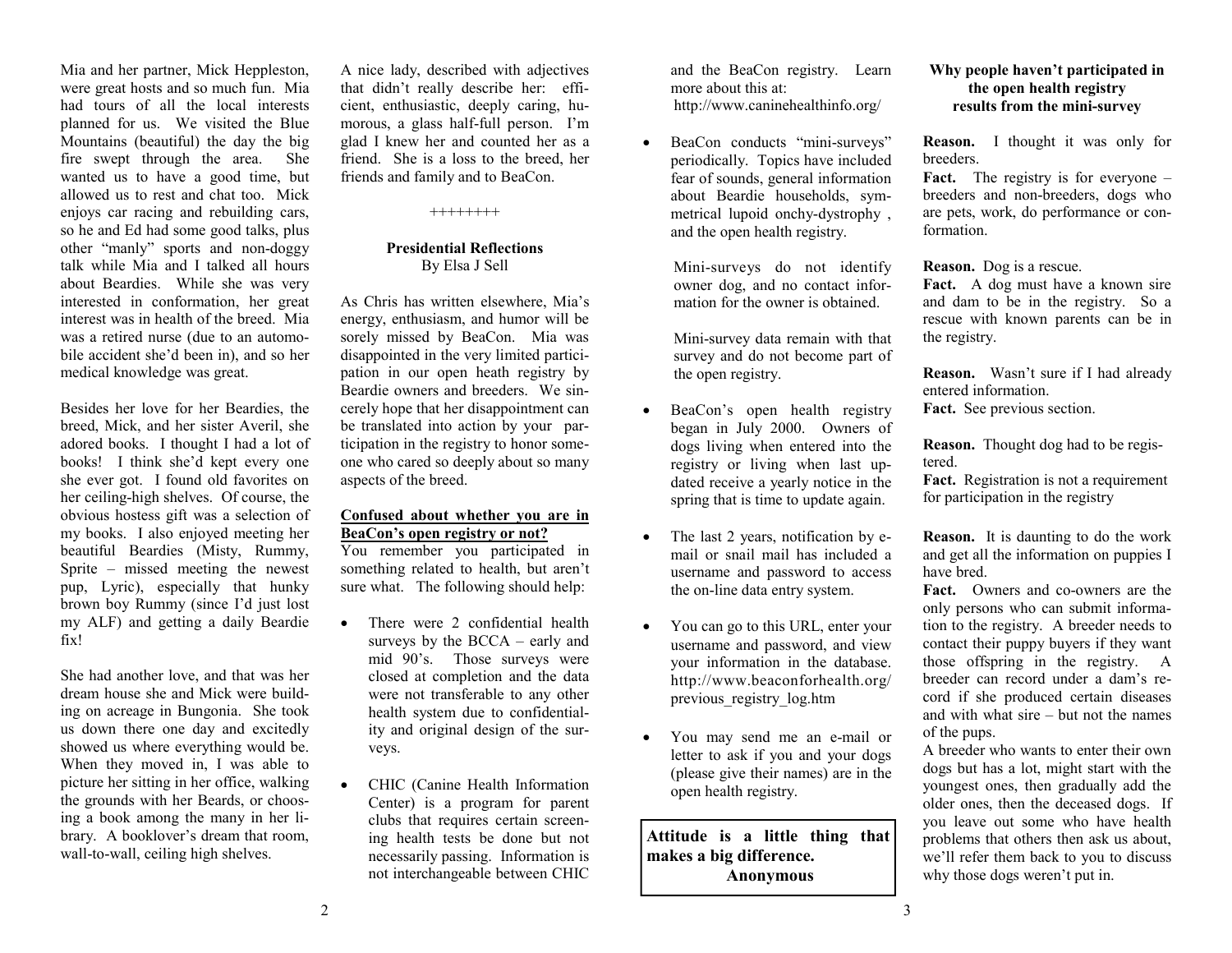Mia and her partner, Mick Heppleston, were great hosts and so much fun. Mia had tours of all the local interests planned for us. We visited the Blue Mountains (beautiful) the day the big fire swept through the area. She wanted us to have a good time, but allowed us to rest and chat too. Mick enjoys car racing and rebuilding cars, so he and Ed had some good talks, plus other "manly" sports and non-doggy talk while Mia and I talked all hours about Beardies. While she was very interested in conformation, her great interest was in health of the breed. Mia was a retired nurse (due to an automobile accident she'd been in), and so her medical knowledge was great.

Besides her love for her Beardies, the breed, Mick, and her sister Averil, she adored books. I thought I had a lot of books! I think she'd kept every one she ever got. I found old favorites on her ceiling-high shelves. Of course, the obvious hostess gift was a selection of my books. I also enjoyed meeting her beautiful Beardies (Misty, Rummy, Sprite – missed meeting the newest pup, Lyric), especially that hunky brown boy Rummy (since I'd just lost my ALF) and getting a daily Beardie fix!

She had another love, and that was her dream house she and Mick were building on acreage in Bungonia. She took us down there one day and excitedly showed us where everything would be. When they moved in, I was able to picture her sitting in her office, walking the grounds with her Beards, or choosing a book among the many in her library. A booklover's dream that room, wall-to-wall, ceiling high shelves.

A nice lady, described with adjectives that didn't really describe her: efficient, enthusiastic, deeply caring, humorous, a glass half-full person. I'm glad I knew her and counted her as a friend. She is a loss to the breed, her friends and family and to BeaCon.

++++++++

#### **Presidential Reflections** By Elsa J Sell

As Chris has written elsewhere, Mia's energy, enthusiasm, and humor will be sorely missed by BeaCon. Mia was disappointed in the very limited participation in our open heath registry by Beardie owners and breeders. We sincerely hope that her disappointment can be translated into action by your participation in the registry to honor someone who cared so deeply about so many aspects of the breed.

#### **Confused about whether you are in BeaCon's open registry or not?**

You remember you participated in something related to health, but aren't sure what. The following should help:

- There were 2 confidential health surveys by the BCCA – early and mid 90's. Those surveys were closed at completion and the data were not transferable to any other health system due to confidentiality and original design of the surveys.
- CHIC (Canine Health Information Center) is a program for parent clubs that requires certain screening health tests be done but not necessarily passing. Information is not interchangeable between CHIC

and the BeaCon registry. Learn more about this at: http://www.caninehealthinfo.org/

BeaCon conducts "mini-surveys" periodically. Topics have included fear of sounds, general information about Beardie households, symmetrical lupoid onchy-dystrophy , and the open health registry.

> Mini-surveys do not identify owner dog, and no contact infor mation for the owner is obtained.

 Mini-survey data remain with that survey and do not become part of the open registry.

- BeaCon's open health registry began in July 2000. Owners of dogs living when entered into the registry or living when last updated receive a yearly notice in the spring that is time to update again.
- The last 2 years, notification by email or snail mail has included a username and password to access the on-line data entry system.
- You can go to this URL, enter your username and password, and view your information in the database. http://www.beaconforhealth.org/ previous\_registry\_log.htm
- You may send me an e-mail or letter to ask if you and your dogs (please give their names) are in the open health registry.

**Attitude is a little thing that makes a big difference. Anonymous**

#### **Why people haven't participated in the open health registry results from the mini-survey**

**Reason.** I thought it was only for breeders.

**Fact.** The registry is for everyone – breeders and non-breeders, dogs who are pets, work, do performance or conformation.

**Reason.** Dog is a rescue.

Fact. A dog must have a known sire and dam to be in the registry. So a rescue with known parents can be in the registry.

**Reason.** Wasn't sure if I had already entered information.

**Fact.** See previous section.

**Reason.** Thought dog had to be registered.

**Fact.** Registration is not a requirement for participation in the registry

**Reason.** It is daunting to do the work and get all the information on puppies I have bred.

**Fact.** Owners and co-owners are the only persons who can submit information to the registry. A breeder needs to contact their puppy buyers if they want those offspring in the registry. A breeder can record under a dam's record if she produced certain diseases and with what sire – but not the names of the pups.

A breeder who wants to enter their own dogs but has a lot, might start with the youngest ones, then gradually add the older ones, then the deceased dogs. If you leave out some who have health problems that others then ask us about, we'll refer them back to you to discuss why those dogs weren't put in.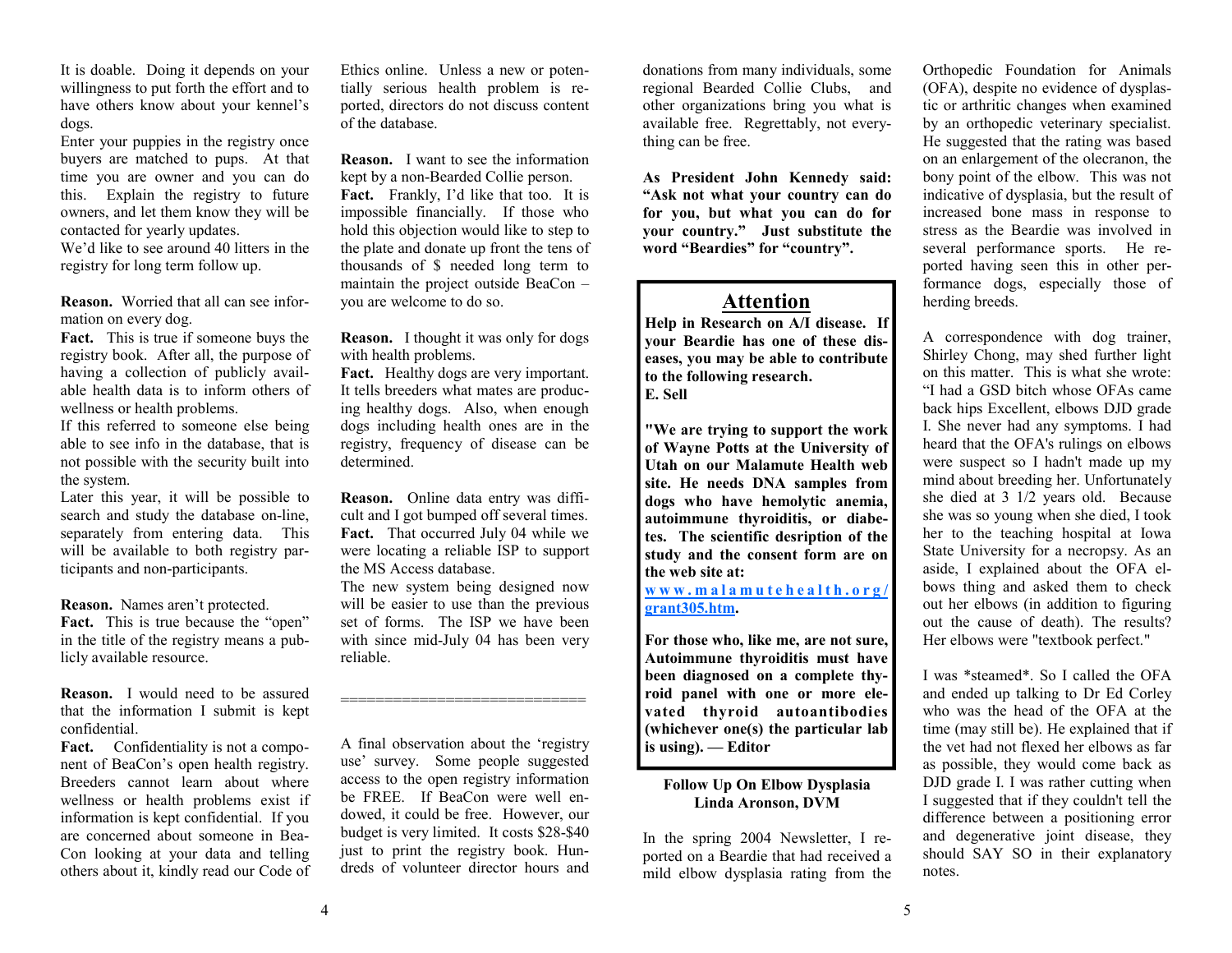It is doable. Doing it depends on your willingness to put forth the effort and to have others know about your kennel's dogs.

Enter your puppies in the registry once buyers are matched to pups. At that time you are owner and you can do this. Explain the registry to future owners, and let them know they will be contacted for yearly updates.

We'd like to see around 40 litters in the registry for long term follow up.

**Reason.** Worried that all can see information on every dog.

**Fact.** This is true if someone buys the registry book. After all, the purpose of having a collection of publicly available health data is to inform others of wellness or health problems.

If this referred to someone else being able to see info in the database, that is not possible with the security built into the system.

Later this year, it will be possible to search and study the database on-line, separately from entering data. This will be available to both registry participants and non-participants.

**Reason.** Names aren't protected.

Fact. This is true because the "open" in the title of the registry means a publicly available resource.

**Reason.** I would need to be assured that the information I submit is kept confidential.

Fact. Confidentiality is not a component of BeaCon's open health registry. Breeders cannot learn about where wellness or health problems exist if information is kept confidential. If you are concerned about someone in Bea-Con looking at your data and telling others about it, kindly read our Code of

Ethics online. Unless a new or potentially serious health problem is reported, directors do not discuss content of the database.

**Reason.** I want to see the information kept by a non-Bearded Collie person. **Fact.** Frankly, I'd like that too. It is impossible financially. If those who hold this objection would like to step to the plate and donate up front the tens of thousands of \$ needed long term to maintain the project outside BeaCon – you are welcome to do so.

**Reason.** I thought it was only for dogs with health problems.

**Fact.** Healthy dogs are very important. It tells breeders what mates are producing healthy dogs. Also, when enough dogs including health ones are in the registry, frequency of disease can be determined.

**Reason.** Online data entry was difficult and I got bumped off several times. **Fact.** That occurred July 04 while we were locating a reliable ISP to support the MS Access database.

The new system being designed now will be easier to use than the previous set of forms. The ISP we have been with since mid-July 04 has been very reliable.

============================

A final observation about the 'registry use' survey. Some people suggested access to the open registry information be FREE. If BeaCon were well endowed, it could be free. However, our budget is very limited. It costs \$28-\$40 just to print the registry book. Hundreds of volunteer director hours and

donations from many individuals, some regional Bearded Collie Clubs, and other organizations bring you what is available free. Regrettably, not everything can be free.

**As President John Kennedy said: "Ask not what your country can do for you, but what you can do for your country." Just substitute the word "Beardies" for "country".** 

# **Attention**

**Help in Research on A/I disease. If your Beardie has one of these diseases, you may be able to contribute to the following research. E. Sell** 

**"We are trying to support the work of Wayne Potts at the University of Utah on our Malamute Health web site. He needs DNA samples from dogs who have hemolytic anemia, autoimmune thyroiditis, or diabetes. The scientific desription of the study and the consent form are on the web site at:** 

**www.malamutehealth.org/ grant305.htm.** 

**For those who, like me, are not sure, Autoimmune thyroiditis must have been diagnosed on a complete thyroid panel with one or more elevated thyroid autoantibodies (whichever one(s) the particular lab is using). — Editor** 

### **Follow Up On Elbow Dysplasia Linda Aronson, DVM**

In the spring 2004 Newsletter, I reported on a Beardie that had received a mild elbow dysplasia rating from the

Orthopedic Foundation for Animals (OFA), despite no evidence of dysplastic or arthritic changes when examined by an orthopedic veterinary specialist. He suggested that the rating was based on an enlargement of the olecranon, the bony point of the elbow. This was not indicative of dysplasia, but the result of increased bone mass in response to stress as the Beardie was involved in several performance sports. He reported having seen this in other performance dogs, especially those of herding breeds.

A correspondence with dog trainer, Shirley Chong, may shed further light on this matter. This is what she wrote: "I had a GSD bitch whose OFAs came back hips Excellent, elbows DJD grade I. She never had any symptoms. I had heard that the OFA's rulings on elbows were suspect so I hadn't made up my mind about breeding her. Unfortunately she died at 3 1/2 years old. Because she was so young when she died, I took her to the teaching hospital at Iowa State University for a necropsy. As an aside, I explained about the OFA elbows thing and asked them to check out her elbows (in addition to figuring out the cause of death). The results? Her elbows were "textbook perfect."

I was \*steamed\*. So I called the OFA and ended up talking to Dr Ed Corley who was the head of the OFA at the time (may still be). He explained that if the vet had not flexed her elbows as far as possible, they would come back as DJD grade I. I was rather cutting when I suggested that if they couldn't tell the difference between a positioning error and degenerative joint disease, they should SAY SO in their explanatory notes.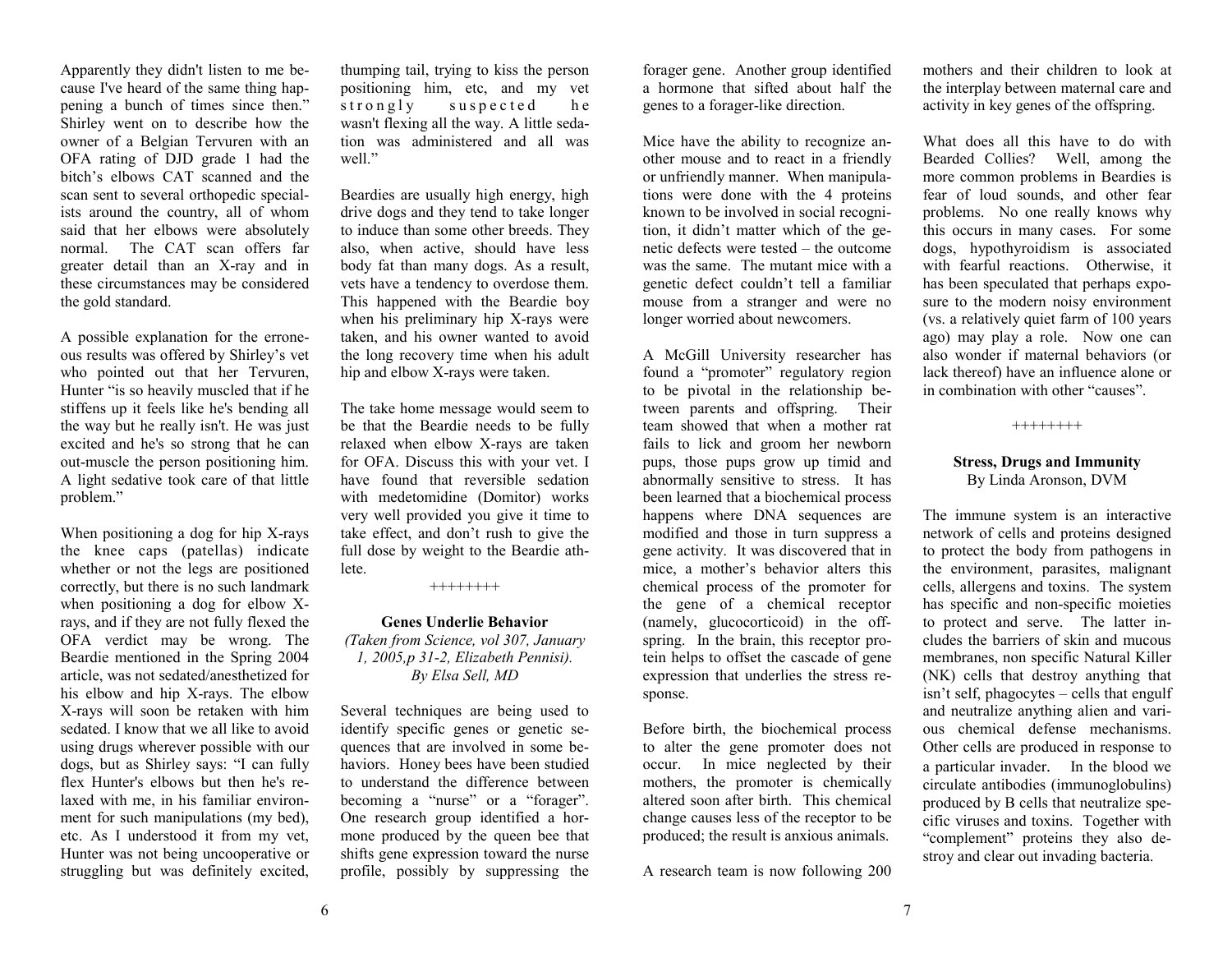Apparently they didn't listen to me because I've heard of the same thing happening a bunch of times since then." Shirley went on to describe how the owner of a Belgian Tervuren with an OFA rating of DJD grade 1 had the bitch's elbows CAT scanned and the scan sent to several orthopedic specialists around the country, all of whom said that her elbows were absolutely normal. The CAT scan offers far greater detail than an X-ray and in these circumstances may be considered the gold standard.

A possible explanation for the erroneous results was offered by Shirley's vet who pointed out that her Tervuren, Hunter "is so heavily muscled that if he stiffens up it feels like he's bending all the way but he really isn't. He was just excited and he's so strong that he can out-muscle the person positioning him. A light sedative took care of that little problem."

When positioning a dog for hip X-rays the knee caps (patellas) indicate whether or not the legs are positioned correctly, but there is no such landmark when positioning a dog for elbow Xrays, and if they are not fully flexed the OFA verdict may be wrong. The Beardie mentioned in the Spring 2004 article, was not sedated/anesthetized for his elbow and hip X-rays. The elbow X-rays will soon be retaken with him sedated. I know that we all like to avoid using drugs wherever possible with our dogs, but as Shirley says: "I can fully flex Hunter's elbows but then he's relaxed with me, in his familiar environment for such manipulations (my bed), etc. As I understood it from my vet, Hunter was not being uncooperative or struggling but was definitely excited,

thumping tail, trying to kiss the person positioning him, etc, and my vet strongly suspected he wasn't flexing all the way. A little sedation was administered and all was well."

Beardies are usually high energy, high drive dogs and they tend to take longer to induce than some other breeds. They also, when active, should have less body fat than many dogs. As a result, vets have a tendency to overdose them. This happened with the Beardie boy when his preliminary hip X-rays were taken, and his owner wanted to avoid the long recovery time when his adult hip and elbow X-rays were taken.

The take home message would seem to be that the Beardie needs to be fully relaxed when elbow X-rays are taken for OFA. Discuss this with your vet. I have found that reversible sedation with medetomidine (Domitor) works very well provided you give it time to take effect, and don't rush to give the full dose by weight to the Beardie athlete.

++++++++

#### **Genes Underlie Behavior** *(Taken from Science, vol 307, January 1, 2005,p 31-2, Elizabeth Pennisi).*

*By Elsa Sell, MD* 

Several techniques are being used to identify specific genes or genetic sequences that are involved in some behaviors. Honey bees have been studied to understand the difference between becoming a "nurse" or a "forager". One research group identified a hormone produced by the queen bee that shifts gene expression toward the nurse profile, possibly by suppressing the

forager gene. Another group identified a hormone that sifted about half the genes to a forager-like direction.

Mice have the ability to recognize another mouse and to react in a friendly or unfriendly manner. When manipulations were done with the 4 proteins known to be involved in social recognition, it didn't matter which of the genetic defects were tested – the outcome was the same. The mutant mice with a genetic defect couldn't tell a familiar mouse from a stranger and were no longer worried about newcomers.

A McGill University researcher has found a "promoter" regulatory region to be pivotal in the relationship between parents and offspring. Their team showed that when a mother rat fails to lick and groom her newborn pups, those pups grow up timid and abnormally sensitive to stress. It has been learned that a biochemical process happens where DNA sequences are modified and those in turn suppress a gene activity. It was discovered that in mice, a mother's behavior alters this chemical process of the promoter for the gene of a chemical receptor (namely, glucocorticoid) in the offspring. In the brain, this receptor protein helps to offset the cascade of gene expression that underlies the stress response.

Before birth, the biochemical process to alter the gene promoter does not occur. In mice neglected by their mothers, the promoter is chemically altered soon after birth. This chemical change causes less of the receptor to be produced; the result is anxious animals.

A research team is now following 200

mothers and their children to look at the interplay between maternal care and activity in key genes of the offspring.

What does all this have to do with Bearded Collies? Well, among the more common problems in Beardies is fear of loud sounds, and other fear problems. No one really knows why this occurs in many cases. For some dogs, hypothyroidism is associated with fearful reactions. Otherwise, it has been speculated that perhaps exposure to the modern noisy environment (vs. a relatively quiet farm of 100 years ago) may play a role. Now one can also wonder if maternal behaviors (or lack thereof) have an influence alone or in combination with other "causes".

++++++++

#### **Stress, Drugs and Immunity**  By Linda Aronson, DVM

The immune system is an interactive network of cells and proteins designed to protect the body from pathogens in the environment, parasites, malignant cells, allergens and toxins. The system has specific and non-specific moieties to protect and serve. The latter includes the barriers of skin and mucous membranes, non specific Natural Killer (NK) cells that destroy anything that isn't self, phagocytes – cells that engulf and neutralize anything alien and various chemical defense mechanisms. Other cells are produced in response to a particular invader. In the blood we circulate antibodies (immunoglobulins) produced by B cells that neutralize specific viruses and toxins. Together with "complement" proteins they also destroy and clear out invading bacteria.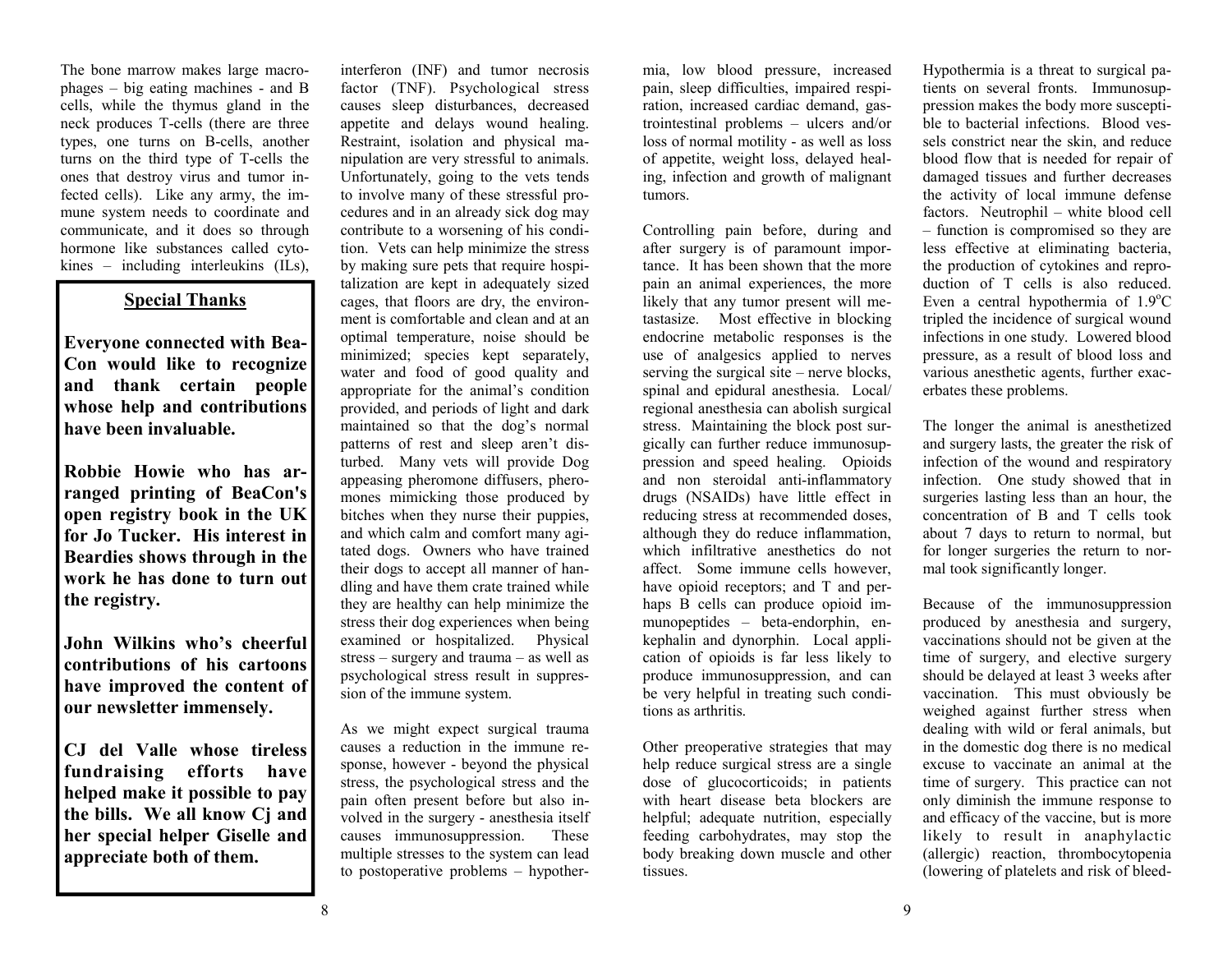The bone marrow makes large macrophages – big eating machines - and B cells, while the thymus gland in the neck produces T-cells (there are three types, one turns on B-cells, another turns on the third type of T-cells the ones that destroy virus and tumor infected cells). Like any army, the immune system needs to coordinate and communicate, and it does so through hormone like substances called cytokines – including interleukins (ILs),

interferon (INF) and tumor necrosis factor (TNF). Psychological stress causes sleep disturbances, decreased appetite and delays wound healing. Restraint, isolation and physical manipulation are very stressful to animals. Unfortunately, going to the vets tends to involve many of these stressful procedures and in an already sick dog may contribute to a worsening of his condition. Vets can help minimize the stress by making sure pets that require hospitalization are kept in adequately sized cages, that floors are dry, the environment is comfortable and clean and at an optimal temperature, noise should be minimized; species kept separately, water and food of good quality and appropriate for the animal's condition provided, and periods of light and dark maintained so that the dog's normal patterns of rest and sleep aren't disturbed. Many vets will provide Dog appeasing pheromone diffusers, pheromones mimicking those produced by bitches when they nurse their puppies, and which calm and comfort many agitated dogs. Owners who have trained their dogs to accept all manner of handling and have them crate trained while they are healthy can help minimize the stress their dog experiences when being examined or hospitalized. Physical stress – surgery and trauma – as well as psychological stress result in suppression of the immune system. The box margin particular particular in the first of the sound and the box means of the sound of the sound and the sound and the sound and the sound and the sound and the sound and the sound and the sound and the sound an

As we might expect surgical trauma causes a reduction in the immune response, however - beyond the physical stress, the psychological stress and the pain often present before but also involved in the surgery - anesthesia itself causes immunosuppression. These multiple stresses to the system can lead to postoperative problems – hypothermia, low blood pressure, increased pain, sleep difficulties, impaired respi ration, increased cardiac demand, gas-<br>trointestinal problems - ulcers and/or loss of normal motility - as well as loss<br>of appetite, weight loss, delayed heal-<br>ing, infection and growth of malignant

tumors.<br>Controlling pain before, during and after surgery is of paramount importance. It has been shown that the more pain an animal experiences, the more likely that any tumor present will metastasize. Most effective in blocking endocrine metabolic responses is the use of analgesics applied to nerves serving the surgical site – nerve blocks, spinal and epidural anesthesia. Local/<br>regional anesthesia can abolish surgical stress. Maintaining the block post surgically can further reduce immunosup-<br>pression and speed healing. Opioids and non steroidal anti-inflammatory<br>drugs (NSAIDs) have little effect in<br>reducing stress at recommended doses,<br>although they do reduce inflammation,<br>which infiltrative anesthetics do not<br>affect. Some immune cells however,<br> haps B cells can produce opioid immunopeptides – beta-endorphin, en kephalin and dynorphin. Local appli cation of opioids is far less likely to produce immunosuppression, and can be very helpful in treating such condi-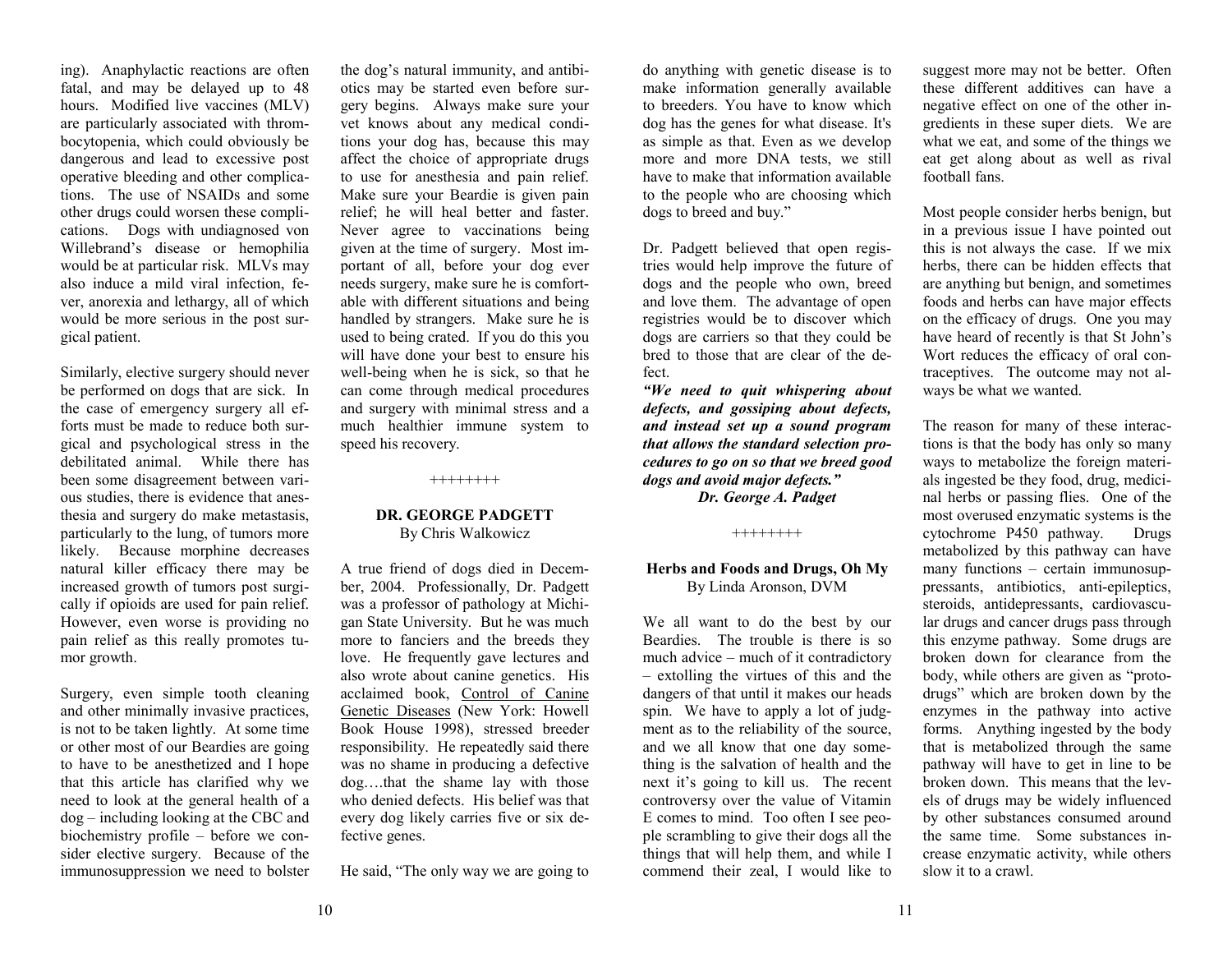ing). Anaphylactic reactions are often fatal, and may be delayed up to 48 hours. Modified live vaccines (MLV) are particularly associated with thrombocytopenia, which could obviously be dangerous and lead to excessive post operative bleeding and other complications. The use of NSAIDs and some other drugs could worsen these complications. Dogs with undiagnosed von Willebrand's disease or hemophilia would be at particular risk. MLVs may also induce a mild viral infection, fever, anorexia and lethargy, all of which would be more serious in the post surgical patient.

Similarly, elective surgery should never be performed on dogs that are sick. In the case of emergency surgery all efforts must be made to reduce both surgical and psychological stress in the debilitated animal. While there has been some disagreement between various studies, there is evidence that anesthesia and surgery do make metastasis, particularly to the lung, of tumors more likely. Because morphine decreases natural killer efficacy there may be increased growth of tumors post surgically if opioids are used for pain relief. However, even worse is providing no pain relief as this really promotes tumor growth.

Surgery, even simple tooth cleaning and other minimally invasive practices, is not to be taken lightly. At some time or other most of our Beardies are going to have to be anesthetized and I hope that this article has clarified why we need to look at the general health of a dog – including looking at the CBC and biochemistry profile – before we consider elective surgery. Because of the immunosuppression we need to bolster

the dog's natural immunity, and antibiotics may be started even before surgery begins. Always make sure your vet knows about any medical conditions your dog has, because this may affect the choice of appropriate drugs to use for anesthesia and pain relief. Make sure your Beardie is given pain relief; he will heal better and faster. Never agree to vaccinations being given at the time of surgery. Most important of all, before your dog ever needs surgery, make sure he is comfortable with different situations and being handled by strangers. Make sure he is used to being crated. If you do this you will have done your best to ensure his well-being when he is sick, so that he can come through medical procedures and surgery with minimal stress and a much healthier immune system to speed his recovery.

++++++++

### **DR. GEORGE PADGETT** By Chris Walkowicz

A true friend of dogs died in December, 2004. Professionally, Dr. Padgett was a professor of pathology at Michigan State University. But he was much more to fanciers and the breeds they love. He frequently gave lectures and also wrote about canine genetics. His acclaimed book, Control of Canine Genetic Diseases (New York: Howell Book House 1998), stressed breeder responsibility. He repeatedly said there was no shame in producing a defective dog….that the shame lay with those who denied defects. His belief was that every dog likely carries five or six defective genes.

He said, "The only way we are going to

do anything with genetic disease is to make information generally available to breeders. You have to know which dog has the genes for what disease. It's as simple as that. Even as we develop more and more DNA tests, we still have to make that information available to the people who are choosing which dogs to breed and buy."

Dr. Padgett believed that open registries would help improve the future of dogs and the people who own, breed and love them. The advantage of open registries would be to discover which dogs are carriers so that they could be bred to those that are clear of the defect.

*"We need to quit whispering about defects, and gossiping about defects, and instead set up a sound program that allows the standard selection procedures to go on so that we breed good dogs and avoid major defects."*

*Dr. George A. Padget*

++++++++

#### **Herbs and Foods and Drugs, Oh My**  By Linda Aronson, DVM

We all want to do the best by our Beardies. The trouble is there is so much advice – much of it contradictory – extolling the virtues of this and the dangers of that until it makes our heads spin. We have to apply a lot of judgment as to the reliability of the source, and we all know that one day something is the salvation of health and the next it's going to kill us. The recent controversy over the value of Vitamin E comes to mind. Too often I see people scrambling to give their dogs all the things that will help them, and while I commend their zeal, I would like to suggest more may not be better. Often these different additives can have a negative effect on one of the other ingredients in these super diets. We are what we eat, and some of the things we eat get along about as well as rival football fans.

Most people consider herbs benign, but in a previous issue I have pointed out this is not always the case. If we mix herbs, there can be hidden effects that are anything but benign, and sometimes foods and herbs can have major effects on the efficacy of drugs. One you may have heard of recently is that St John's Wort reduces the efficacy of oral contraceptives. The outcome may not always be what we wanted.

The reason for many of these interactions is that the body has only so many ways to metabolize the foreign materials ingested be they food, drug, medicinal herbs or passing flies. One of the most overused enzymatic systems is the cytochrome P450 pathway. Drugs metabolized by this pathway can have many functions – certain immunosuppressants, antibiotics, anti-epileptics, steroids, antidepressants, cardiovascular drugs and cancer drugs pass through this enzyme pathway. Some drugs are broken down for clearance from the body, while others are given as "protodrugs" which are broken down by the enzymes in the pathway into active forms. Anything ingested by the body that is metabolized through the same pathway will have to get in line to be broken down. This means that the levels of drugs may be widely influenced by other substances consumed around the same time. Some substances increase enzymatic activity, while others slow it to a crawl.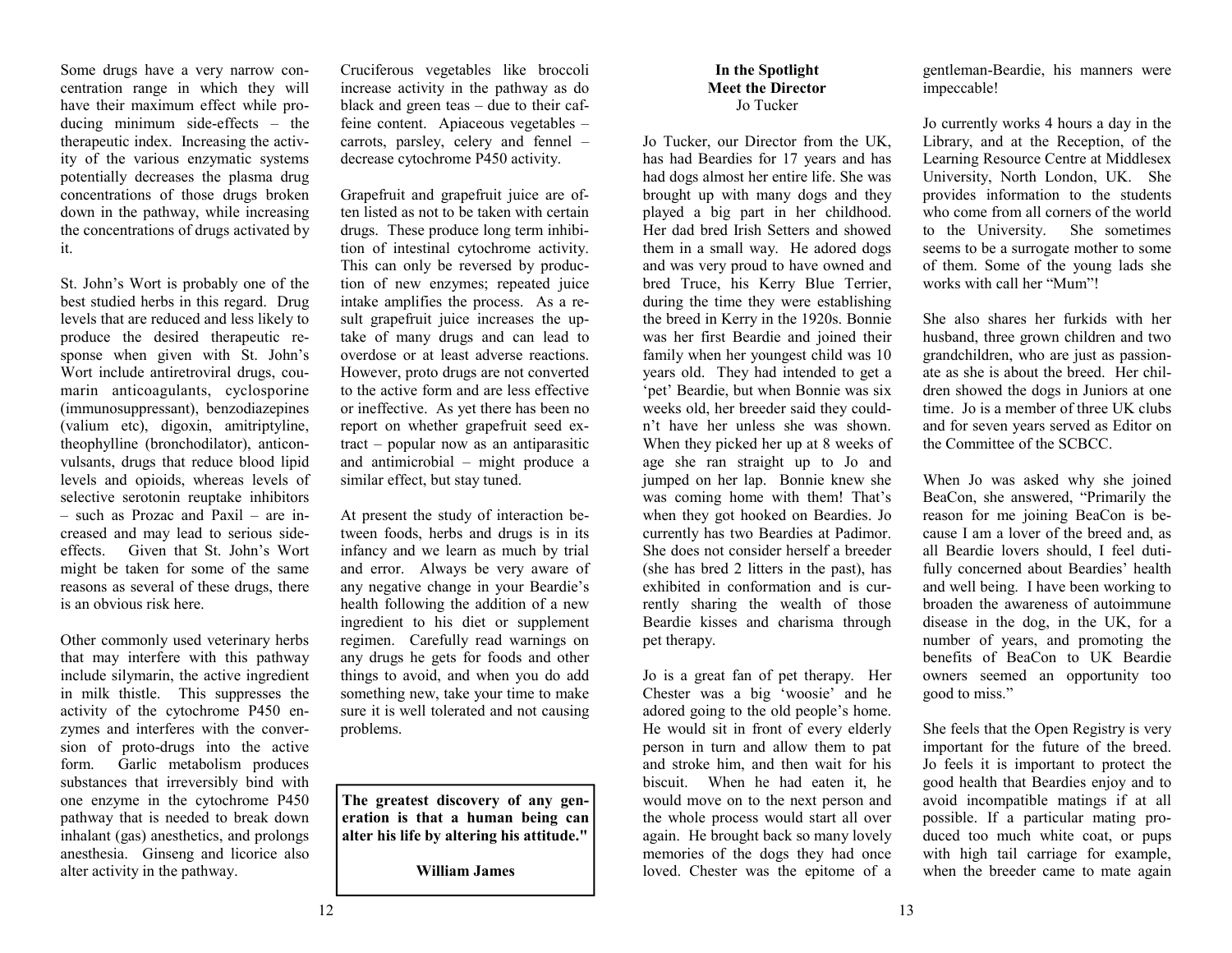Some drugs have a very narrow concentration range in which they will have their maximum effect while producing minimum side-effects – the therapeutic index. Increasing the activity of the various enzymatic systems potentially decreases the plasma drug concentrations of those drugs broken down in the pathway, while increasing the concentrations of drugs activated by it.

St. John's Wort is probably one of the best studied herbs in this regard. Drug levels that are reduced and less likely to produce the desired therapeutic response when given with St. John's Wort include antiretroviral drugs, coumarin anticoagulants, cyclosporine (immunosuppressant), benzodiazepines (valium etc), digoxin, amitriptyline, theophylline (bronchodilator), anticonvulsants, drugs that reduce blood lipid levels and opioids, whereas levels of selective serotonin reuptake inhibitors – such as Prozac and Paxil – are increased and may lead to serious sideeffects. Given that St. John's Wort might be taken for some of the same reasons as several of these drugs, there is an obvious risk here.

Other commonly used veterinary herbs that may interfere with this pathway include silymarin, the active ingredient in milk thistle. This suppresses the activity of the cytochrome P450 enzymes and interferes with the conversion of proto-drugs into the active form. Garlic metabolism produces substances that irreversibly bind with one enzyme in the cytochrome P450 pathway that is needed to break down inhalant (gas) anesthetics, and prolongs anesthesia. Ginseng and licorice also alter activity in the pathway.

Cruciferous vegetables like broccoli increase activity in the pathway as do black and green teas – due to their caffeine content. Apiaceous vegetables – carrots, parsley, celery and fennel – decrease cytochrome P450 activity.

Grapefruit and grapefruit juice are often listed as not to be taken with certain drugs. These produce long term inhibition of intestinal cytochrome activity. This can only be reversed by production of new enzymes; repeated juice intake amplifies the process. As a result grapefruit juice increases the uptake of many drugs and can lead to overdose or at least adverse reactions. However, proto drugs are not converted to the active form and are less effective or ineffective. As yet there has been no report on whether grapefruit seed extract – popular now as an antiparasitic and antimicrobial – might produce a similar effect, but stay tuned.

At present the study of interaction between foods, herbs and drugs is in its infancy and we learn as much by trial and error. Always be very aware of any negative change in your Beardie's health following the addition of a new ingredient to his diet or supplement regimen. Carefully read warnings on any drugs he gets for foods and other things to avoid, and when you do add something new, take your time to make sure it is well tolerated and not causing problems.

**The greatest discovery of any generation is that a human being can alter his life by altering his attitude."** 

**William James** 

#### **In the Spotlight Meet the Director** Jo Tucker

Jo Tucker, our Director from the UK, has had Beardies for 17 years and has had dogs almost her entire life. She was brought up with many dogs and they played a big part in her childhood. Her dad bred Irish Setters and showed them in a small way. He adored dogs and was very proud to have owned and bred Truce, his Kerry Blue Terrier, during the time they were establishing the breed in Kerry in the 1920s. Bonnie was her first Beardie and joined their family when her youngest child was 10 years old. They had intended to get a 'pet' Beardie, but when Bonnie was six weeks old, her breeder said they couldn't have her unless she was shown. When they picked her up at 8 weeks of age she ran straight up to Jo and jumped on her lap. Bonnie knew she was coming home with them! That's when they got hooked on Beardies. Jo currently has two Beardies at Padimor. She does not consider herself a breeder (she has bred 2 litters in the past), has exhibited in conformation and is currently sharing the wealth of those Beardie kisses and charisma through pet therapy.

Jo is a great fan of pet therapy. Her Chester was a big 'woosie' and he adored going to the old people's home. He would sit in front of every elderly person in turn and allow them to pat and stroke him, and then wait for his biscuit. When he had eaten it, he would move on to the next person and the whole process would start all over again. He brought back so many lovely memories of the dogs they had once loved. Chester was the epitome of a

gentleman-Beardie, his manners were impeccable!

Jo currently works 4 hours a day in the Library, and at the Reception, of the Learning Resource Centre at Middlesex University, North London, UK. She provides information to the students who come from all corners of the world to the University. She sometimes seems to be a surrogate mother to some of them. Some of the young lads she works with call her "Mum"!

She also shares her furkids with her husband, three grown children and two grandchildren, who are just as passionate as she is about the breed. Her children showed the dogs in Juniors at one time. Jo is a member of three UK clubs and for seven years served as Editor on the Committee of the SCBCC.

When Jo was asked why she joined BeaCon, she answered, "Primarily the reason for me joining BeaCon is because I am a lover of the breed and, as all Beardie lovers should, I feel dutifully concerned about Beardies' health and well being. I have been working to broaden the awareness of autoimmune disease in the dog, in the UK, for a number of years, and promoting the benefits of BeaCon to UK Beardie owners seemed an opportunity too good to miss."

She feels that the Open Registry is very important for the future of the breed. Jo feels it is important to protect the good health that Beardies enjoy and to avoid incompatible matings if at all possible. If a particular mating produced too much white coat, or pups with high tail carriage for example, when the breeder came to mate again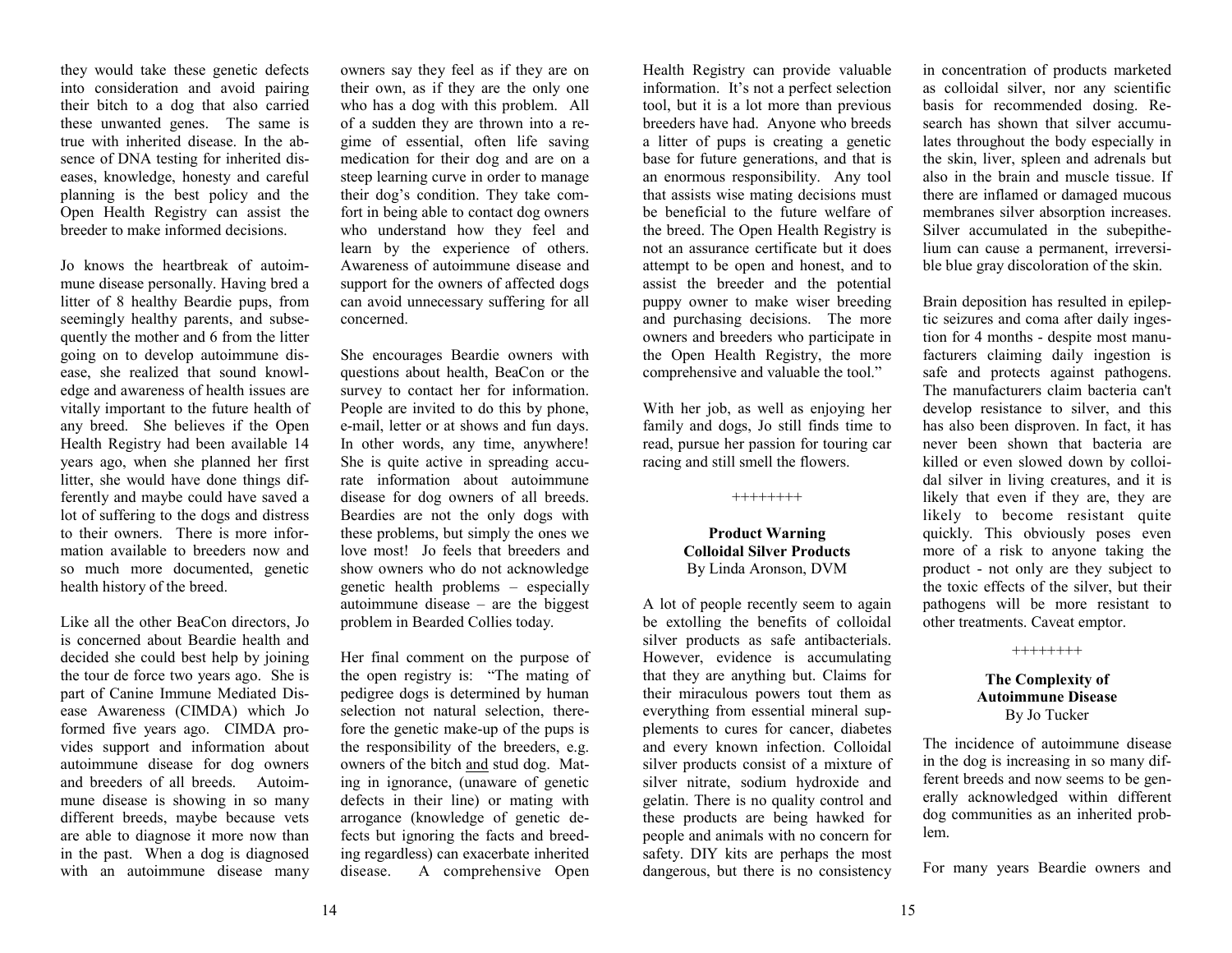they would take these genetic defects into consideration and avoid pairing their bitch to a dog that also carried these unwanted genes. The same is true with inherited disease. In the absence of DNA testing for inherited diseases, knowledge, honesty and careful planning is the best policy and the Open Health Registry can assist the breeder to make informed decisions.

Jo knows the heartbreak of autoimmune disease personally. Having bred a litter of 8 healthy Beardie pups, from seemingly healthy parents, and subsequently the mother and 6 from the litter going on to develop autoimmune disease, she realized that sound knowledge and awareness of health issues are vitally important to the future health of any breed. She believes if the Open Health Registry had been available 14 years ago, when she planned her first litter, she would have done things differently and maybe could have saved a lot of suffering to the dogs and distress to their owners. There is more information available to breeders now and so much more documented, genetic health history of the breed.

Like all the other BeaCon directors, Jo is concerned about Beardie health and decided she could best help by joining the tour de force two years ago. She is part of Canine Immune Mediated Disease Awareness (CIMDA) which Jo formed five years ago. CIMDA provides support and information about autoimmune disease for dog owners and breeders of all breeds. Autoimmune disease is showing in so many different breeds, maybe because vets are able to diagnose it more now than in the past. When a dog is diagnosed with an autoimmune disease many

owners say they feel as if they are on their own, as if they are the only one who has a dog with this problem. All of a sudden they are thrown into a regime of essential, often life saving medication for their dog and are on a steep learning curve in order to manage their dog's condition. They take comfort in being able to contact dog owners who understand how they feel and learn by the experience of others. Awareness of autoimmune disease and support for the owners of affected dogs can avoid unnecessary suffering for all concerned.

She encourages Beardie owners with questions about health, BeaCon or the survey to contact her for information. People are invited to do this by phone, e-mail, letter or at shows and fun days. In other words, any time, anywhere! She is quite active in spreading accurate information about autoimmune disease for dog owners of all breeds. Beardies are not the only dogs with these problems, but simply the ones we love most! Jo feels that breeders and show owners who do not acknowledge genetic health problems – especially autoimmune disease – are the biggest problem in Bearded Collies today.

Her final comment on the purpose of the open registry is: "The mating of pedigree dogs is determined by human selection not natural selection, therefore the genetic make-up of the pups is the responsibility of the breeders, e.g. owners of the bitch and stud dog. Mating in ignorance, (unaware of genetic defects in their line) or mating with arrogance (knowledge of genetic defects but ignoring the facts and breeding regardless) can exacerbate inherited disease. A comprehensive Open

Health Registry can provide valuable information. It's not a perfect selection tool, but it is a lot more than previous breeders have had. Anyone who breeds a litter of pups is creating a genetic base for future generations, and that is an enormous responsibility. Any tool that assists wise mating decisions must be beneficial to the future welfare of the breed. The Open Health Registry is not an assurance certificate but it does attempt to be open and honest, and to assist the breeder and the potential puppy owner to make wiser breeding and purchasing decisions. The more owners and breeders who participate in the Open Health Registry, the more comprehensive and valuable the tool."

With her job, as well as enjoying her family and dogs, Jo still finds time to read, pursue her passion for touring car racing and still smell the flowers.

#### ++++++++

#### **Product Warning Colloidal Silver Products** By Linda Aronson, DVM

A lot of people recently seem to again be extolling the benefits of colloidal silver products as safe antibacterials. However, evidence is accumulating that they are anything but. Claims for their miraculous powers tout them as everything from essential mineral supplements to cures for cancer, diabetes and every known infection. Colloidal silver products consist of a mixture of silver nitrate, sodium hydroxide and gelatin. There is no quality control and these products are being hawked for people and animals with no concern for safety. DIY kits are perhaps the most dangerous, but there is no consistency

in concentration of products marketed as colloidal silver, nor any scientific basis for recommended dosing. Research has shown that silver accumulates throughout the body especially in the skin, liver, spleen and adrenals but also in the brain and muscle tissue. If there are inflamed or damaged mucous membranes silver absorption increases. Silver accumulated in the subepithelium can cause a permanent, irreversible blue gray discoloration of the skin.

Brain deposition has resulted in epileptic seizures and coma after daily ingestion for 4 months - despite most manufacturers claiming daily ingestion is safe and protects against pathogens. The manufacturers claim bacteria can't develop resistance to silver, and this has also been disproven. In fact, it has never been shown that bacteria are killed or even slowed down by colloidal silver in living creatures, and it is likely that even if they are, they are likely to become resistant quite quickly. This obviously poses even more of a risk to anyone taking the product - not only are they subject to the toxic effects of the silver, but their pathogens will be more resistant to other treatments. Caveat emptor.

++++++++

#### **The Complexity of Autoimmune Disease**  By Jo Tucker

The incidence of autoimmune disease in the dog is increasing in so many different breeds and now seems to be generally acknowledged within different dog communities as an inherited problem.

For many years Beardie owners and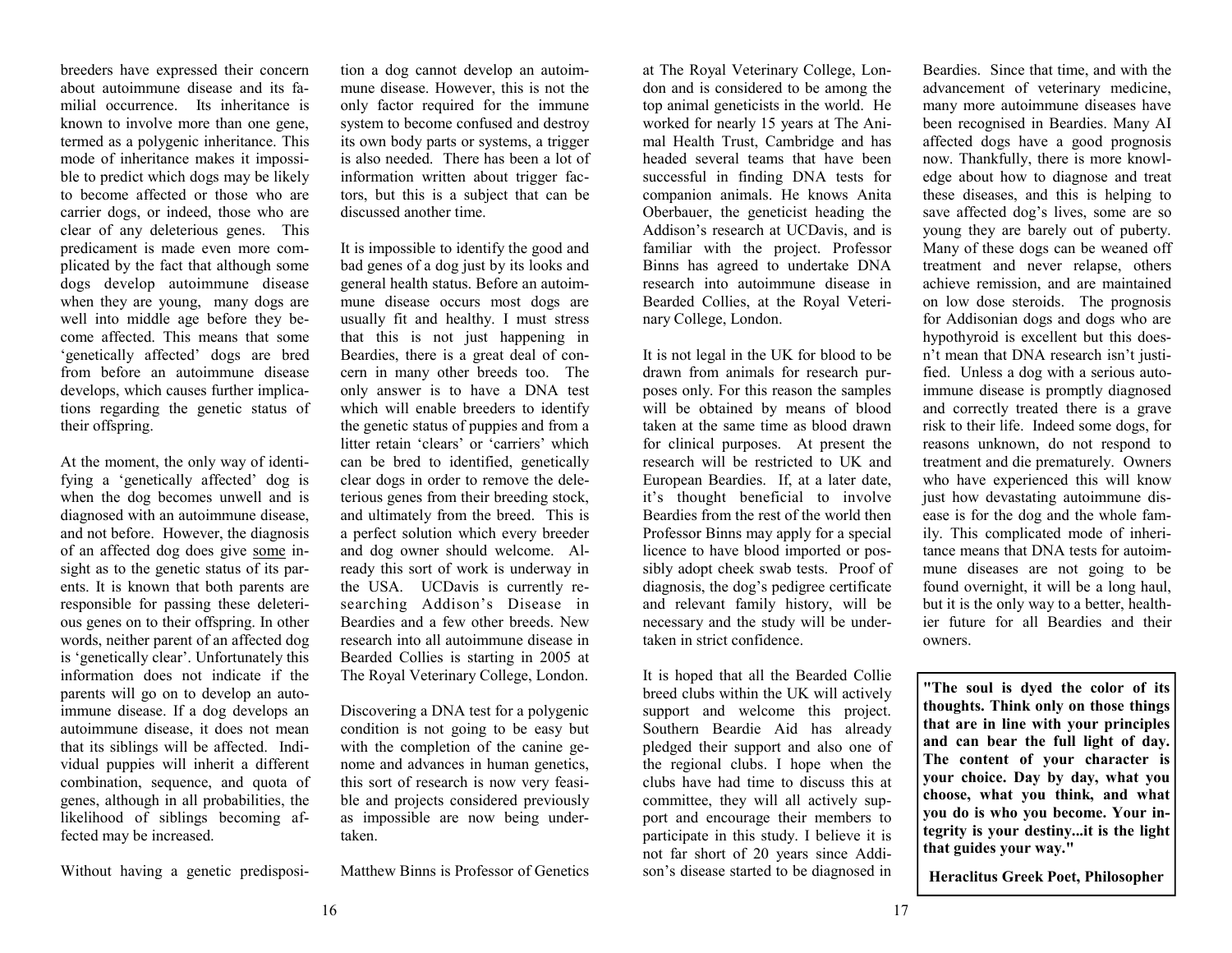breeders have expressed their concern about autoimmune disease and its familial occurrence. Its inheritance is known to involve more than one gene, termed as a polygenic inheritance. This mode of inheritance makes it impossible to predict which dogs may be likely to become affected or those who are carrier dogs, or indeed, those who are clear of any deleterious genes. This predicament is made even more complicated by the fact that although some dogs develop autoimmune disease when they are young, many dogs are well into middle age before they become affected. This means that some 'genetically affected' dogs are bred from before an autoimmune disease develops, which causes further implications regarding the genetic status of their offspring.

At the moment, the only way of identifying a 'genetically affected' dog is when the dog becomes unwell and is diagnosed with an autoimmune disease, and not before. However, the diagnosis of an affected dog does give some insight as to the genetic status of its parents. It is known that both parents are responsible for passing these deleterious genes on to their offspring. In other words, neither parent of an affected dog is 'genetically clear'. Unfortunately this information does not indicate if the parents will go on to develop an autoimmune disease. If a dog develops an autoimmune disease, it does not mean that its siblings will be affected. Individual puppies will inherit a different combination, sequence, and quota of genes, although in all probabilities, the likelihood of siblings becoming affected may be increased.

Without having a genetic predisposi-

tion a dog cannot develop an autoim-<br>mune disease. However, this is not the only factor required for the immune<br>system to become confused and destroy<br>its own body parts or systems, a trigger<br>is also needed. There has been a lot of<br>information written about trigger fac-<br>tors, but this is a subject

to identify the good and<br>It is impossible to identify the good and<br>bad genes of a dog just by its looks and<br>general health status. Before an autoim-<br>mune disease occurs most dogs are usually fit and healthy. I must stress<br>that this is not just happening in<br>Beardies, there is a great deal of concern in many other breeds too. The<br>only answer is to have a DNA test<br>which will enable breeders to identify<br>the genetic status of puppies and from a<br>litter retain 'clears' or 'carriers' which<br>can be bred to identified, gen and ultimately from the breed. This is a perfect solution which every breeder and dog owner should welcome. Already this sort of work is underway in the USA. UCDavis is currently researching Addison's Disease in

Beardies and a few other breeds. New<br>research into all autoimmune disease in<br>Bearded Collies is starting in 2005 at<br>The Royal Veterinary College, London.<br>Discovering a DNA test for a polygenic<br>condition is not going to be this sort of research is now very feasi-<br>ble and projects considered previously as impossible are now being under-

tion a dog name develop an antion-<br>Internet and The Royal Vericiney Colego, Low- Bandian factorism and the dog name of the Royal Verica Since it is the state of the state of the state in the state of the state of the stat